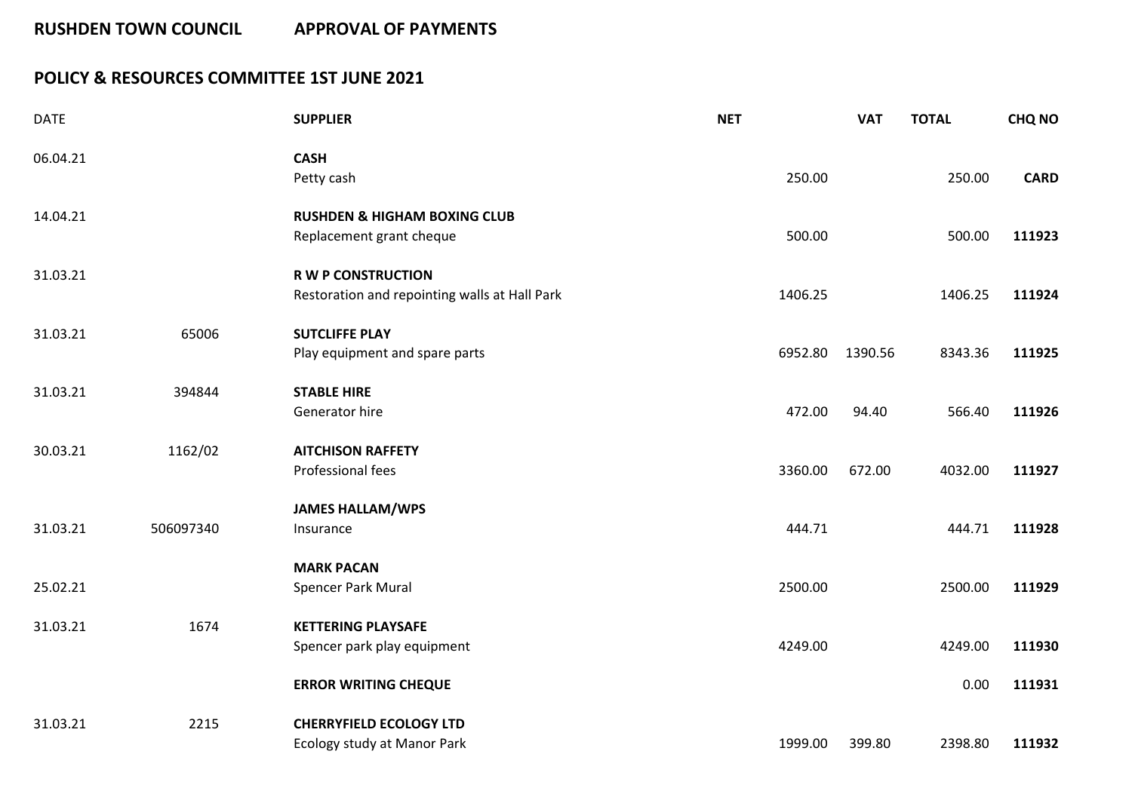## **POLICY & RESOURCES COMMITTEE 1ST JUNE 2021**

| <b>DATE</b> |           | <b>SUPPLIER</b>                               | <b>NET</b> | <b>VAT</b> | <b>TOTAL</b> | <b>CHQ NO</b> |
|-------------|-----------|-----------------------------------------------|------------|------------|--------------|---------------|
| 06.04.21    |           | <b>CASH</b>                                   |            |            |              |               |
|             |           | Petty cash                                    | 250.00     |            | 250.00       | <b>CARD</b>   |
| 14.04.21    |           | <b>RUSHDEN &amp; HIGHAM BOXING CLUB</b>       |            |            |              |               |
|             |           | Replacement grant cheque                      | 500.00     |            | 500.00       | 111923        |
| 31.03.21    |           | <b>R W P CONSTRUCTION</b>                     |            |            |              |               |
|             |           | Restoration and repointing walls at Hall Park | 1406.25    |            | 1406.25      | 111924        |
| 31.03.21    | 65006     | <b>SUTCLIFFE PLAY</b>                         |            |            |              |               |
|             |           | Play equipment and spare parts                | 6952.80    | 1390.56    | 8343.36      | 111925        |
| 31.03.21    | 394844    | <b>STABLE HIRE</b>                            |            |            |              |               |
|             |           | Generator hire                                | 472.00     | 94.40      | 566.40       | 111926        |
| 30.03.21    | 1162/02   | <b>AITCHISON RAFFETY</b>                      |            |            |              |               |
|             |           | Professional fees                             | 3360.00    | 672.00     | 4032.00      | 111927        |
|             |           | <b>JAMES HALLAM/WPS</b>                       |            |            |              |               |
| 31.03.21    | 506097340 | Insurance                                     | 444.71     |            | 444.71       | 111928        |
|             |           | <b>MARK PACAN</b>                             |            |            |              |               |
| 25.02.21    |           | Spencer Park Mural                            | 2500.00    |            | 2500.00      | 111929        |
| 31.03.21    | 1674      | <b>KETTERING PLAYSAFE</b>                     |            |            |              |               |
|             |           | Spencer park play equipment                   | 4249.00    |            | 4249.00      | 111930        |
|             |           | <b>ERROR WRITING CHEQUE</b>                   |            |            | 0.00         | 111931        |
| 31.03.21    | 2215      | <b>CHERRYFIELD ECOLOGY LTD</b>                |            |            |              |               |
|             |           | Ecology study at Manor Park                   | 1999.00    | 399.80     | 2398.80      | 111932        |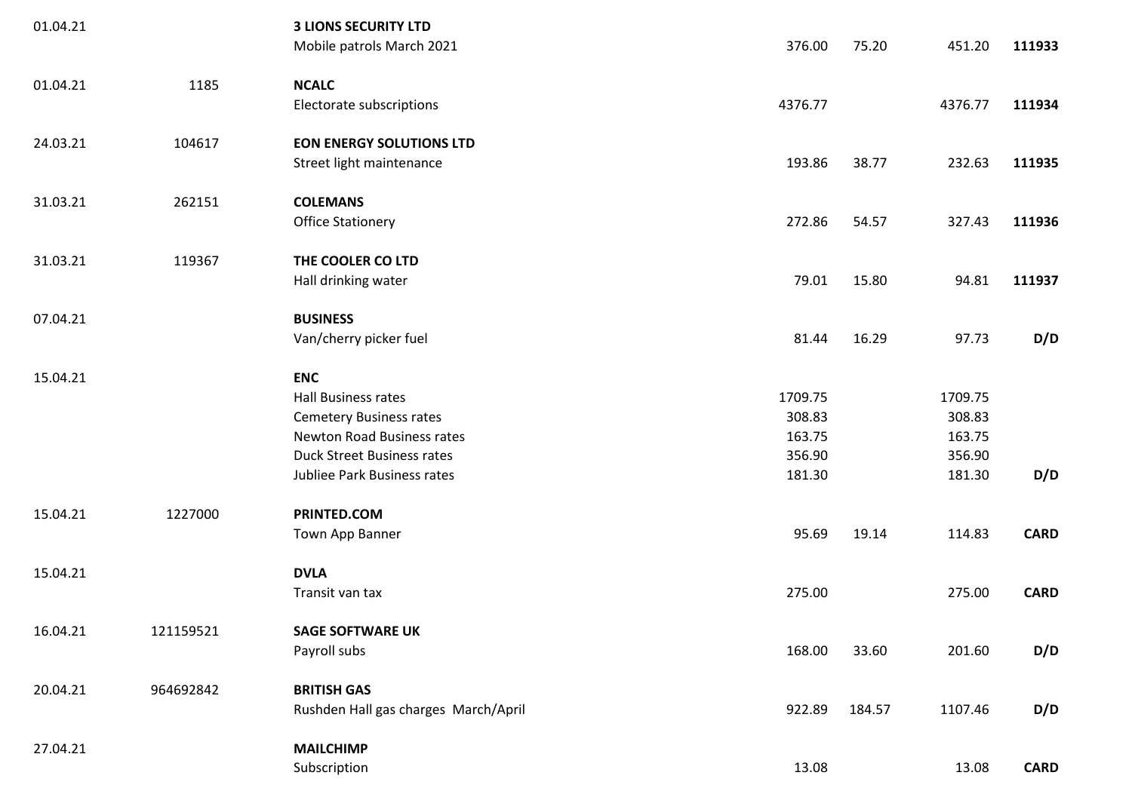| 01.04.21 |           | <b>3 LIONS SECURITY LTD</b>          |         |        |         |             |
|----------|-----------|--------------------------------------|---------|--------|---------|-------------|
|          |           | Mobile patrols March 2021            | 376.00  | 75.20  | 451.20  | 111933      |
| 01.04.21 | 1185      | <b>NCALC</b>                         |         |        |         |             |
|          |           | Electorate subscriptions             | 4376.77 |        | 4376.77 | 111934      |
| 24.03.21 | 104617    | <b>EON ENERGY SOLUTIONS LTD</b>      |         |        |         |             |
|          |           | Street light maintenance             | 193.86  | 38.77  | 232.63  | 111935      |
| 31.03.21 | 262151    | <b>COLEMANS</b>                      |         |        |         |             |
|          |           | <b>Office Stationery</b>             | 272.86  | 54.57  | 327.43  | 111936      |
| 31.03.21 | 119367    | THE COOLER CO LTD                    |         |        |         |             |
|          |           | Hall drinking water                  | 79.01   | 15.80  | 94.81   | 111937      |
| 07.04.21 |           | <b>BUSINESS</b>                      |         |        |         |             |
|          |           | Van/cherry picker fuel               | 81.44   | 16.29  | 97.73   | D/D         |
| 15.04.21 |           | <b>ENC</b>                           |         |        |         |             |
|          |           | Hall Business rates                  | 1709.75 |        | 1709.75 |             |
|          |           | <b>Cemetery Business rates</b>       | 308.83  |        | 308.83  |             |
|          |           | Newton Road Business rates           | 163.75  |        | 163.75  |             |
|          |           | <b>Duck Street Business rates</b>    | 356.90  |        | 356.90  |             |
|          |           | Jubliee Park Business rates          | 181.30  |        | 181.30  | D/D         |
| 15.04.21 | 1227000   | PRINTED.COM                          |         |        |         |             |
|          |           | Town App Banner                      | 95.69   | 19.14  | 114.83  | <b>CARD</b> |
| 15.04.21 |           | <b>DVLA</b>                          |         |        |         |             |
|          |           | Transit van tax                      | 275.00  |        | 275.00  | <b>CARD</b> |
| 16.04.21 | 121159521 | <b>SAGE SOFTWARE UK</b>              |         |        |         |             |
|          |           | Payroll subs                         | 168.00  | 33.60  | 201.60  | D/D         |
| 20.04.21 | 964692842 | <b>BRITISH GAS</b>                   |         |        |         |             |
|          |           | Rushden Hall gas charges March/April | 922.89  | 184.57 | 1107.46 | D/D         |
| 27.04.21 |           | <b>MAILCHIMP</b>                     |         |        |         |             |
|          |           | Subscription                         | 13.08   |        | 13.08   | <b>CARD</b> |
|          |           |                                      |         |        |         |             |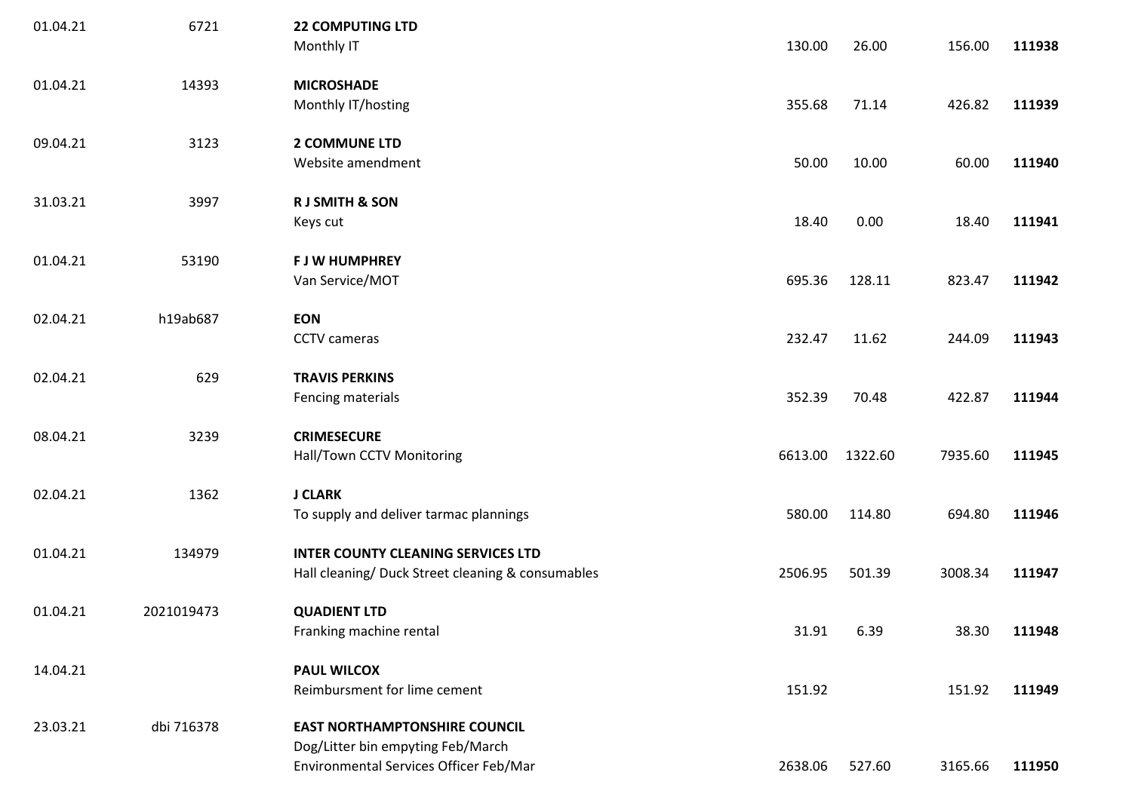| 01.04.21 | 6721       | <b>22 COMPUTING LTD</b><br>Monthly IT                                                          | 130.00  | 26.00   | 156.00  | 111938 |
|----------|------------|------------------------------------------------------------------------------------------------|---------|---------|---------|--------|
| 01.04.21 | 14393      | <b>MICROSHADE</b><br>Monthly IT/hosting                                                        | 355.68  | 71.14   | 426.82  | 111939 |
| 09.04.21 | 3123       | <b>2 COMMUNE LTD</b><br>Website amendment                                                      | 50.00   | 10.00   | 60.00   | 111940 |
| 31.03.21 | 3997       | <b>RJ SMITH &amp; SON</b><br>Keys cut                                                          | 18.40   | 0.00    | 18.40   | 111941 |
| 01.04.21 | 53190      | <b>F J W HUMPHREY</b><br>Van Service/MOT                                                       | 695.36  | 128.11  | 823.47  | 111942 |
| 02.04.21 | h19ab687   | <b>EON</b><br>CCTV cameras                                                                     | 232.47  | 11.62   | 244.09  | 111943 |
| 02.04.21 | 629        | <b>TRAVIS PERKINS</b><br>Fencing materials                                                     | 352.39  | 70.48   | 422.87  | 111944 |
| 08.04.21 | 3239       | <b>CRIMESECURE</b><br>Hall/Town CCTV Monitoring                                                | 6613.00 | 1322.60 | 7935.60 | 111945 |
| 02.04.21 | 1362       | <b>J CLARK</b><br>To supply and deliver tarmac plannings                                       | 580.00  | 114.80  | 694.80  | 111946 |
| 01.04.21 | 134979     | <b>INTER COUNTY CLEANING SERVICES LTD</b><br>Hall cleaning/ Duck Street cleaning & consumables | 2506.95 | 501.39  | 3008.34 | 111947 |
| 01.04.21 | 2021019473 | <b>QUADIENT LTD</b><br>Franking machine rental                                                 | 31.91   | 6.39    | 38.30   | 111948 |
| 14.04.21 |            | <b>PAUL WILCOX</b><br>Reimbursment for lime cement                                             | 151.92  |         | 151.92  | 111949 |
| 23.03.21 | dbi 716378 | <b>EAST NORTHAMPTONSHIRE COUNCIL</b><br>Dog/Litter bin empyting Feb/March                      |         |         |         |        |
|          |            | Environmental Services Officer Feb/Mar                                                         | 2638.06 | 527.60  | 3165.66 | 111950 |